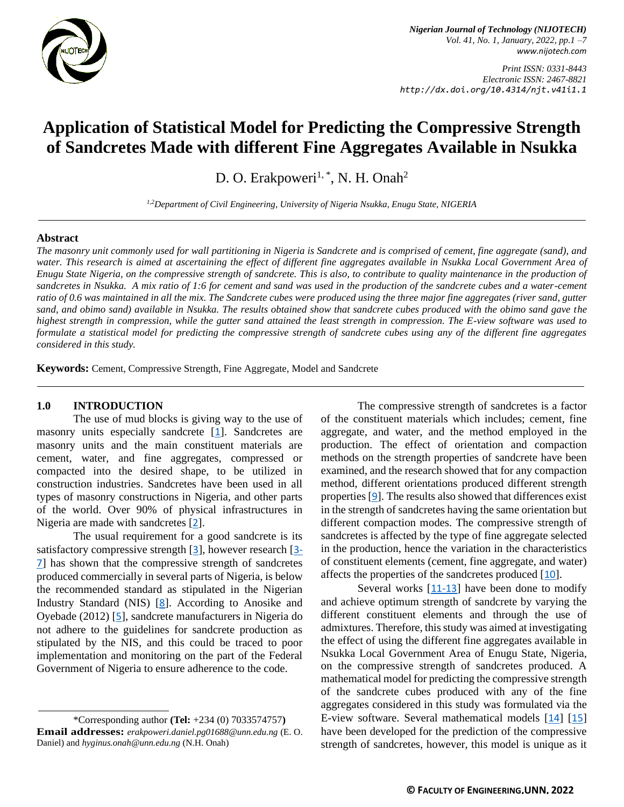

*Nigerian Journal of Technology (NIJOTECH) Vol. 41, No. 1, January, 2022, pp.1 –7 [www.nijotech.com](http://www.nijotech.com/)*

*Print ISSN: 0331-8443 Electronic ISSN: 2467-8821 http://dx.doi.org/10.4314/njt.v41i1.1*

# **Application of Statistical Model for Predicting the Compressive Strength of Sandcretes Made with different Fine Aggregates Available in Nsukka**

D. O. Erakpoweri<sup>1, \*</sup>, N. H. Onah<sup>2</sup>

*1,2Department of Civil Engineering, University of Nigeria Nsukka, Enugu State, NIGERIA*

#### **Abstract**

*The masonry unit commonly used for wall partitioning in Nigeria is Sandcrete and is comprised of cement, fine aggregate (sand), and*  water. This research is aimed at ascertaining the effect of different fine aggregates available in Nsukka Local Government Area of *Enugu State Nigeria, on the compressive strength of sandcrete. This is also, to contribute to quality maintenance in the production of sandcretes in Nsukka. A mix ratio of 1:6 for cement and sand was used in the production of the sandcrete cubes and a water-cement ratio of 0.6 was maintained in all the mix. The Sandcrete cubes were produced using the three major fine aggregates (river sand, gutter sand, and obimo sand) available in Nsukka. The results obtained show that sandcrete cubes produced with the obimo sand gave the highest strength in compression, while the gutter sand attained the least strength in compression. The E-view software was used to formulate a statistical model for predicting the compressive strength of sandcrete cubes using any of the different fine aggregates considered in this study.*

**Keywords:** Cement, Compressive Strength, Fine Aggregate, Model and Sandcrete

#### **1.0 INTRODUCTION**

The use of mud blocks is giving way to the use of masonry units especially sandcrete [[1](#page-5-0)]. Sandcretes are masonry units and the main constituent materials are cement, water, and fine aggregates, compressed or compacted into the desired shape, to be utilized in construction industries. Sandcretes have been used in all types of masonry constructions in Nigeria, and other parts of the world. Over 90% of physical infrastructures in Nigeria are made with sandcretes [[2](#page-5-1)].

The usual requirement for a good sandcrete is its satisfactory compressive strength [[3](#page-5-2)], however research [[3-](#page-5-2) [7](#page-5-2)] has shown that the compressive strength of sandcretes produced commercially in several parts of Nigeria, is below the recommended standard as stipulated in the Nigerian Industry Standard (NIS) [[8](#page-6-0)]. According to Anosike and Oyebade (2012) [[5](#page-5-3)], sandcrete manufacturers in Nigeria do not adhere to the guidelines for sandcrete production as stipulated by the NIS, and this could be traced to poor implementation and monitoring on the part of the Federal Government of Nigeria to ensure adherence to the code.

\*Corresponding author **[\(Te](mailto:samnnaemeka.ugwu@unn.edu.ng)l:** +234 (0) 7033574757**) Email addresses:** *[erakpoweri.daniel.pg01688@unn.edu.ng](mailto:erakpoweri.daniel.pg01688@unn.edu.ng)* (E. O. Daniel) and *[hyginus.onah@unn.edu.ng](mailto:hyginus.onah@unn.edu.ng)* (N.H. Onah)

The compressive strength of sandcretes is a factor of the constituent materials which includes; cement, fine aggregate, and water, and the method employed in the production. The effect of orientation and compaction methods on the strength properties of sandcrete have been examined, and the research showed that for any compaction method, different orientations produced different strength properties [[9](#page-6-1)]. The results also showed that differences exist in the strength of sandcretes having the same orientation but different compaction modes. The compressive strength of sandcretes is affected by the type of fine aggregate selected in the production, hence the variation in the characteristics of constituent elements (cement, fine aggregate, and water) affects the properties of the sandcretes produced [[10](#page-6-2)].

Several works [[11-13](#page-6-3)] have been done to modify and achieve optimum strength of sandcrete by varying the different constituent elements and through the use of admixtures. Therefore, this study was aimed at investigating the effect of using the different fine aggregates available in Nsukka Local Government Area of Enugu State, Nigeria, on the compressive strength of sandcretes produced. A mathematical model for predicting the compressive strength of the sandcrete cubes produced with any of the fine aggregates considered in this study was formulated via the E-view software. Several mathematical models [[14](#page-6-4)] [[15](#page-6-5)] have been developed for the prediction of the compressive strength of sandcretes, however, this model is unique as it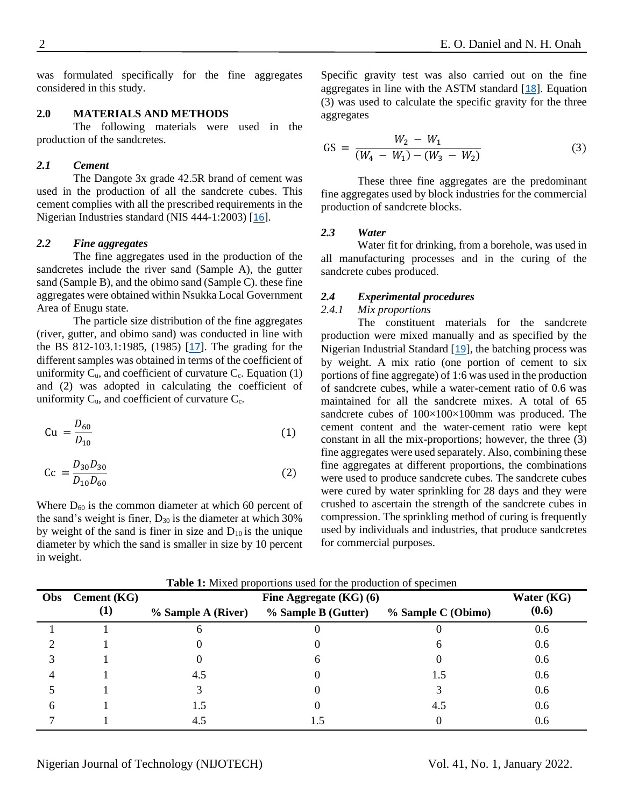was formulated specifically for the fine aggregates considered in this study.

# **2.0 MATERIALS AND METHODS**

The following materials were used in the production of the sandcretes.

### *2.1 Cement*

The Dangote 3x grade 42.5R brand of cement was used in the production of all the sandcrete cubes. This cement complies with all the prescribed requirements in the Nigerian Industries standard (NIS 444-1:2003) [[16](#page-6-6)].

# *2.2 Fine aggregates*

The fine aggregates used in the production of the sandcretes include the river sand (Sample A), the gutter sand (Sample B), and the obimo sand (Sample C). these fine aggregates were obtained within Nsukka Local Government Area of Enugu state.

The particle size distribution of the fine aggregates (river, gutter, and obimo sand) was conducted in line with the BS 812-103.1:1985, (1985) [[17](#page-6-7)]. The grading for the different samples was obtained in terms of the coefficient of uniformity  $C_u$ , and coefficient of curvature  $C_c$ . Equation (1) and (2) was adopted in calculating the coefficient of uniformity  $C_{\text{u}}$ , and coefficient of curvature  $C_{\text{c}}$ .

$$
Cu = \frac{D_{60}}{D_{10}} \tag{1}
$$

$$
Cc = \frac{D_{30}D_{30}}{D_{10}D_{60}}\tag{2}
$$

Where  $D_{60}$  is the common diameter at which 60 percent of the sand's weight is finer,  $D_{30}$  is the diameter at which 30% by weight of the sand is finer in size and  $D_{10}$  is the unique diameter by which the sand is smaller in size by 10 percent in weight.

Specific gravity test was also carried out on the fine aggregates in line with the ASTM standard [[18](#page-6-8)]. Equation (3) was used to calculate the specific gravity for the three aggregates

$$
GS = \frac{W_2 - W_1}{(W_4 - W_1) - (W_3 - W_2)}\tag{3}
$$

These three fine aggregates are the predominant fine aggregates used by block industries for the commercial production of sandcrete blocks.

### *2.3 Water*

Water fit for drinking, from a borehole, was used in all manufacturing processes and in the curing of the sandcrete cubes produced.

# *2.4 Experimental procedures*

# *2.4.1 Mix proportions*

The constituent materials for the sandcrete production were mixed manually and as specified by the Nigerian Industrial Standard [[19](#page-6-9)], the batching process was by weight. A mix ratio (one portion of cement to six portions of fine aggregate) of 1:6 was used in the production of sandcrete cubes, while a water-cement ratio of 0.6 was maintained for all the sandcrete mixes. A total of 65 sandcrete cubes of  $100\times100\times100$ mm was produced. The cement content and the water-cement ratio were kept constant in all the mix-proportions; however, the three (3) fine aggregates were used separately. Also, combining these fine aggregates at different proportions, the combinations were used to produce sandcrete cubes. The sandcrete cubes were cured by water sprinkling for 28 days and they were crushed to ascertain the strength of the sandcrete cubes in compression. The sprinkling method of curing is frequently used by individuals and industries, that produce sandcretes for commercial purposes.

| Obs | <b>Cement (KG)</b> | Fine Aggregate $(KG)$ (6) |                     |                    | Water (KG) |
|-----|--------------------|---------------------------|---------------------|--------------------|------------|
|     | $\bf{(1)}$         | % Sample A (River)        | % Sample B (Gutter) | % Sample C (Obimo) | (0.6)      |
|     |                    | n                         |                     |                    | 0.6        |
|     |                    |                           |                     | h                  | 0.6        |
|     |                    |                           |                     |                    | 0.6        |
|     |                    | 4.5                       |                     | 1.5                | 0.6        |
|     |                    |                           |                     |                    | 0.6        |
|     |                    | 1.5                       |                     | 4.5                | 0.6        |
|     |                    | 4.5                       |                     |                    | 0.6        |

**Table 1:** Mixed proportions used for the production of specimen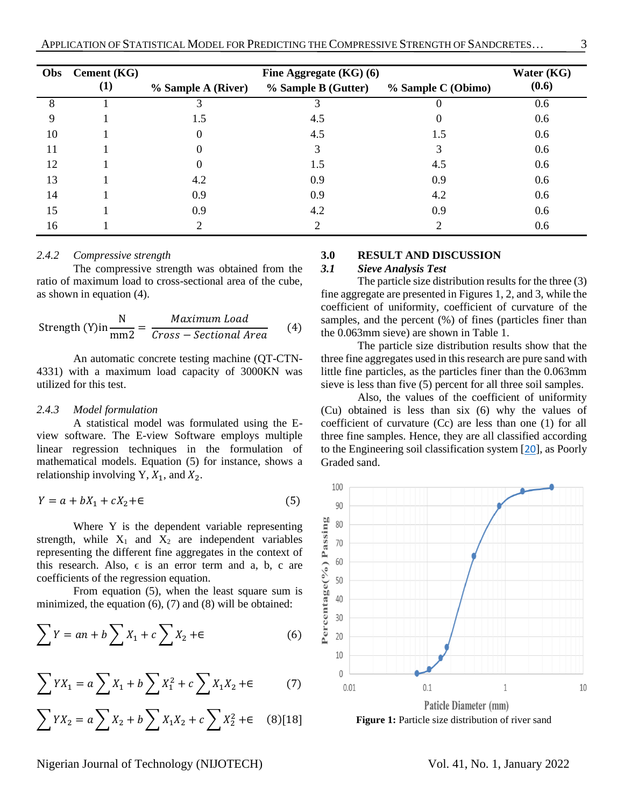| Obs | <b>Cement</b> (KG) | Fine Aggregate $(KG)$ (6) |                     |                    | Water (KG) |
|-----|--------------------|---------------------------|---------------------|--------------------|------------|
|     | $\bf(1)$           | % Sample A (River)        | % Sample B (Gutter) | % Sample C (Obimo) | (0.6)      |
| 8   |                    | 3                         |                     | 0                  | 0.6        |
| 9   |                    | 1.5                       | 4.5                 | 0                  | 0.6        |
| 10  |                    | O                         | 4.5                 | 1.5                | 0.6        |
| 11  |                    | 0                         | 3                   | 3                  | 0.6        |
| 12  |                    |                           | 1.5                 | 4.5                | 0.6        |
| 13  |                    | 4.2                       | 0.9                 | 0.9                | 0.6        |
| 14  |                    | 0.9                       | 0.9                 | 4.2                | 0.6        |
| 15  |                    | 0.9                       | 4.2                 | 0.9                | 0.6        |
| 16  |                    |                           | 2                   | ∍                  | 0.6        |

#### *2.4.2 Compressive strength*

The compressive strength was obtained from the ratio of maximum load to cross-sectional area of the cube, as shown in equation (4).

$$
Strength (Y)in \frac{N}{mm2} = \frac{Maximum Load}{Cross-Sectional Area}
$$
 (4)

An automatic concrete testing machine (QT-CTN-4331) with a maximum load capacity of 3000KN was utilized for this test.

### *2.4.3 Model formulation*

A statistical model was formulated using the Eview software. The E-view Software employs multiple linear regression techniques in the formulation of mathematical models. Equation (5) for instance, shows a relationship involving Y,  $X_1$ , and  $X_2$ .

$$
Y = a + bX_1 + cX_2 + \epsilon \tag{5}
$$

Where Y is the dependent variable representing strength, while  $X_1$  and  $X_2$  are independent variables representing the different fine aggregates in the context of this research. Also,  $\epsilon$  is an error term and a, b, c are coefficients of the regression equation.

From equation (5), when the least square sum is minimized, the equation (6), (7) and (8) will be obtained:

$$
\sum Y = an + b \sum X_1 + c \sum X_2 + \epsilon \tag{6}
$$

$$
\sum YX_1 = a \sum X_1 + b \sum X_1^2 + c \sum X_1 X_2 + \epsilon \tag{7}
$$

$$
\sum YX_2 = a \sum X_2 + b \sum X_1X_2 + c \sum X_2^2 + \epsilon \quad (8)[18]
$$

#### **3.0 RESULT AND DISCUSSION**

# *3.1 Sieve Analysis Test*

The particle size distribution results for the three (3) fine aggregate are presented in Figures 1, 2, and 3, while the coefficient of uniformity, coefficient of curvature of the samples, and the percent  $(\%)$  of fines (particles finer than the 0.063mm sieve) are shown in Table 1.

The particle size distribution results show that the three fine aggregates used in this research are pure sand with little fine particles, as the particles finer than the 0.063mm sieve is less than five (5) percent for all three soil samples.

Also, the values of the coefficient of uniformity (Cu) obtained is less than six (6) why the values of coefficient of curvature (Cc) are less than one (1) for all three fine samples. Hence, they are all classified according to the Engineering soil classification system [[20](#page-6-10)], as Poorly Graded sand.



Nigerian Journal of Technology (NIJOTECH) Vol. 41, No. 1, January 2022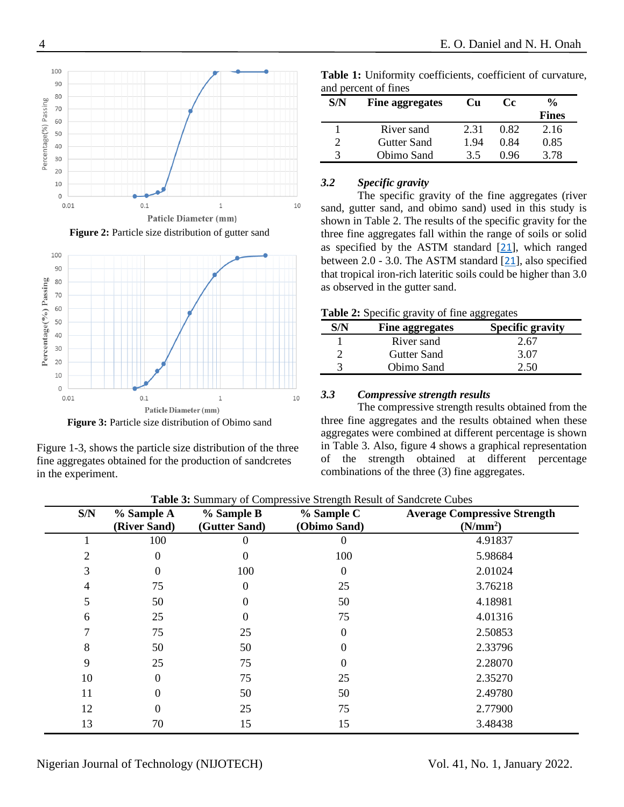

Figure 2: Particle size distribution of gutter sand



**Figure 3:** Particle size distribution of Obimo sand

Figure 1-3, shows the particle size distribution of the three fine aggregates obtained for the production of sandcretes in the experiment.

| and percent of fines         |             |      |      |       |  |  |  |
|------------------------------|-------------|------|------|-------|--|--|--|
| S/N<br>Fine aggregates<br>Cu |             | Cc.  | %    |       |  |  |  |
|                              |             |      |      | Fines |  |  |  |
|                              | River sand  | 2.31 | 0.82 | 2.16  |  |  |  |
|                              | Gutter Sand |      |      |       |  |  |  |

3 Obimo Sand 3.5 0.96 3.78

**Table 1:** Uniformity coefficients, coefficient of curvature, and percent of fines

# *3.2 Specific gravity*

The specific gravity of the fine aggregates (river sand, gutter sand, and obimo sand) used in this study is shown in Table 2. The results of the specific gravity for the three fine aggregates fall within the range of soils or solid as specified by the ASTM standard [[21](#page-6-11)], which ranged between 2.0 - 3.0. The ASTM standard [[21](#page-6-11)], also specified that tropical iron-rich lateritic soils could be higher than 3.0 as observed in the gutter sand.

|  |  | Table 2: Specific gravity of fine aggregates |  |
|--|--|----------------------------------------------|--|
|--|--|----------------------------------------------|--|

| <b>Fine aggregates</b> | <b>Specific gravity</b> |
|------------------------|-------------------------|
| River sand             | 2.67                    |
| Gutter Sand            | 3.07                    |
| Obimo Sand             | : 50                    |

# *3.3 Compressive strength results*

The compressive strength results obtained from the three fine aggregates and the results obtained when these aggregates were combined at different percentage is shown in Table 3. Also, figure 4 shows a graphical representation of the strength obtained at different percentage combinations of the three (3) fine aggregates.

| S/N | % Sample A<br>(River Sand) | % Sample B<br>(Gutter Sand) | % Sample C<br>(Obimo Sand) | <b>Average Compressive Strength</b><br>(N/mm <sup>2</sup> ) |
|-----|----------------------------|-----------------------------|----------------------------|-------------------------------------------------------------|
|     | 100                        | 0                           | $\theta$                   | 4.91837                                                     |
|     | 0                          | 0                           | 100                        | 5.98684                                                     |
| 3   | 0                          | 100                         | 0                          | 2.01024                                                     |
| 4   | 75                         | 0                           | 25                         | 3.76218                                                     |
| C   | 50                         | 0                           | 50                         | 4.18981                                                     |
| 6   | 25                         |                             | 75                         | 4.01316                                                     |
|     | 75                         | 25                          | 0                          | 2.50853                                                     |
| 8   | 50                         | 50                          |                            | 2.33796                                                     |
| 9   | 25                         | 75                          |                            | 2.28070                                                     |
| 10  | 0                          | 75                          | 25                         | 2.35270                                                     |
| 11  | 0                          | 50                          | 50                         | 2.49780                                                     |
| 12  |                            | 25                          | 75                         | 2.77900                                                     |
| 13  | 70                         | 15                          | 15                         | 3.48438                                                     |

**Table 3:** Summary of Compressive Strength Result of Sandcrete Cubes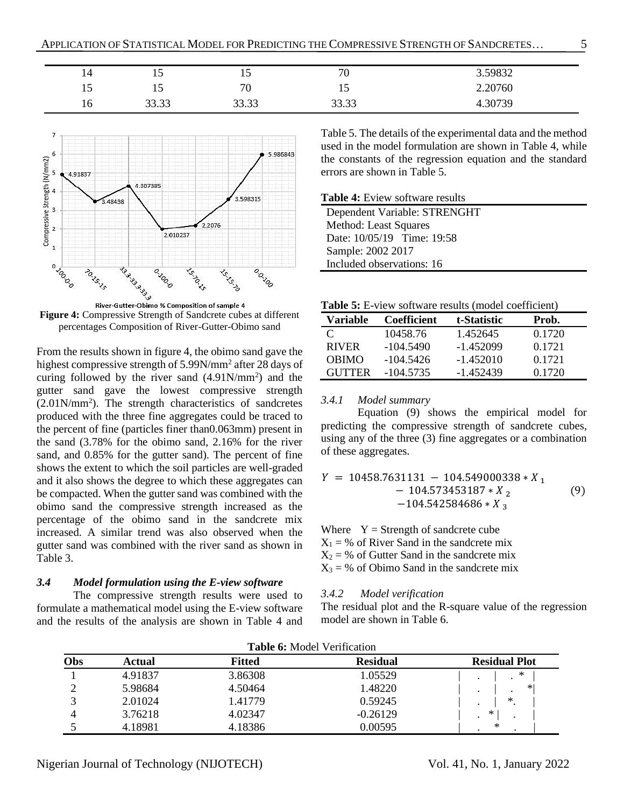| $1 +$          | $\overline{1}$ | $\overline{ }$        | 70             | 59832   |
|----------------|----------------|-----------------------|----------------|---------|
| $\overline{1}$ | $\overline{1}$ | 70                    | 19             | 2.20760 |
| 16             | 22.22<br>JJ.JJ | 22.22<br><u>,,,,,</u> | 22.22<br>33.33 | 4.30739 |



**Figure 4:** Compressive Strength of Sandcrete cubes at different percentages Composition of River-Gutter-Obimo sand

From the results shown in figure 4, the obimo sand gave the highest compressive strength of 5.99N/mm<sup>2</sup> after 28 days of curing followed by the river sand  $(4.91N/mm<sup>2</sup>)$  and the gutter sand gave the lowest compressive strength (2.01N/mm<sup>2</sup> ). The strength characteristics of sandcretes produced with the three fine aggregates could be traced to the percent of fine (particles finer than0.063mm) present in the sand (3.78% for the obimo sand, 2.16% for the river sand, and 0.85% for the gutter sand). The percent of fine shows the extent to which the soil particles are well-graded and it also shows the degree to which these aggregates can be compacted. When the gutter sand was combined with the obimo sand the compressive strength increased as the percentage of the obimo sand in the sandcrete mix increased. A similar trend was also observed when the gutter sand was combined with the river sand as shown in Table 3.

# *3.4 Model formulation using the E-view software*

The compressive strength results were used to formulate a mathematical model using the E-view software and the results of the analysis are shown in Table 4 and

Table 5. The details of the experimental data and the method used in the model formulation are shown in Table 4, while the constants of the regression equation and the standard errors are shown in Table 5.

**Table 4:** Eview software results

Dependent Variable: STRENGHT Method: Least Squares Date: 10/05/19 Time: 19:58 Sample: 2002 2017 Included observations: 16

| Table 5: E-view software results (model coefficient) |  |
|------------------------------------------------------|--|
|------------------------------------------------------|--|

| Variable      | Coefficient | t-Statistic | Prob.  |
|---------------|-------------|-------------|--------|
| $\mathcal{C}$ | 10458.76    | 1.452645    | 0.1720 |
| <b>RIVER</b>  | $-104.5490$ | $-1.452099$ | 0.1721 |
| <b>OBIMO</b>  | $-104.5426$ | $-1.452010$ | 0.1721 |
| <b>GUTTER</b> | $-104.5735$ | $-1.452439$ | 0.1720 |

# *3.4.1 Model summary*

Equation (9) shows the empirical model for predicting the compressive strength of sandcrete cubes, using any of the three (3) fine aggregates or a combination of these aggregates.

$$
Y = 10458.7631131 - 104.549000338 * X1 - 104.573453187 * X2 (9) - 104.542584686 * X3
$$

Where  $Y =$  Strength of sandcrete cube  $X_1 = %$  of River Sand in the sandcrete mix  $X_2 = %$  of Gutter Sand in the sandcrete mix  $X_3 = \%$  of Obimo Sand in the sandcrete mix

#### *3.4.2 Model verification*

The residual plot and the R-square value of the regression model are shown in Table 6.

| <b>Table 6:</b> Model Verification |         |               |                 |                      |
|------------------------------------|---------|---------------|-----------------|----------------------|
| Obs                                | Actual  | <b>Fitted</b> | <b>Residual</b> | <b>Residual Plot</b> |
|                                    | 4.91837 | 3.86308       | 1.05529         | ∗                    |
|                                    | 5.98684 | 4.50464       | 1.48220         | ∗∣<br>$\bullet$      |
|                                    | 2.01024 | 1.41779       | 0.59245         | *<br>$\bullet$       |
|                                    | 3.76218 | 4.02347       | $-0.26129$      | ∗<br>$\bullet$       |
|                                    | 4.18981 | 4.18386       | 0.00595         | ∗                    |

**Table 6:** Model Verification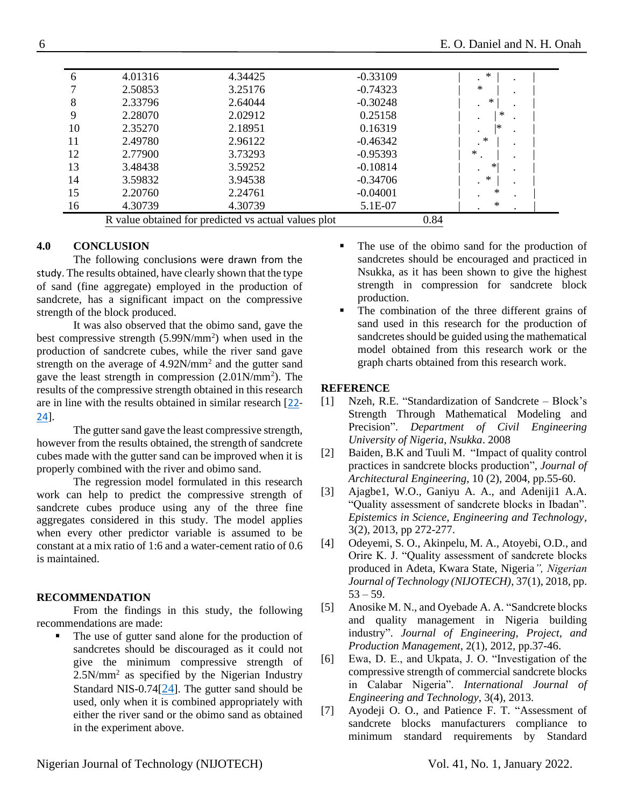| 6  | 4.01316 | 4.34425                                              | $-0.33109$ | ∗      |
|----|---------|------------------------------------------------------|------------|--------|
|    | 2.50853 | 3.25176                                              | $-0.74323$ | ∗      |
| 8  | 2.33796 | 2.64044                                              | $-0.30248$ | ∗      |
| 9  | 2.28070 | 2.02912                                              | 0.25158    | ∗      |
| 10 | 2.35270 | 2.18951                                              | 0.16319    | *      |
| 11 | 2.49780 | 2.96122                                              | $-0.46342$ | ∗      |
| 12 | 2.77900 | 3.73293                                              | $-0.95393$ | $\ast$ |
| 13 | 3.48438 | 3.59252                                              | $-0.10814$ | ∗      |
| 14 | 3.59832 | 3.94538                                              | $-0.34706$ | ∗      |
| 15 | 2.20760 | 2.24761                                              | $-0.04001$ | ∗      |
| 16 | 4.30739 | 4.30739                                              | 5.1E-07    | ∗      |
|    |         | R value obtained for predicted vs actual values plot |            | 0.84   |

# **4.0 CONCLUSION**

The following conclusions were drawn from the study. The results obtained, have clearly shown that the type of sand (fine aggregate) employed in the production of sandcrete, has a significant impact on the compressive strength of the block produced.

It was also observed that the obimo sand, gave the best compressive strength  $(5.99N/mm<sup>2</sup>)$  when used in the production of sandcrete cubes, while the river sand gave strength on the average of 4.92N/mm<sup>2</sup> and the gutter sand gave the least strength in compression  $(2.01N/mm<sup>2</sup>)$ . The results of the compressive strength obtained in this research are in line with the results obtained in similar research [[22-](#page-6-12) [24](#page-6-13)].

The gutter sand gave the least compressive strength, however from the results obtained, the strength of sandcrete cubes made with the gutter sand can be improved when it is properly combined with the river and obimo sand.

The regression model formulated in this research work can help to predict the compressive strength of sandcrete cubes produce using any of the three fine aggregates considered in this study. The model applies when every other predictor variable is assumed to be constant at a mix ratio of 1:6 and a water-cement ratio of 0.6 is maintained.

# **RECOMMENDATION**

From the findings in this study, the following recommendations are made:

The use of gutter sand alone for the production of sandcretes should be discouraged as it could not give the minimum compressive strength of 2.5N/mm<sup>2</sup> as specified by the Nigerian Industry Standard NIS-0.74[[24](#page-6-13)]. The gutter sand should be used, only when it is combined appropriately with either the river sand or the obimo sand as obtained in the experiment above.

- The use of the obimo sand for the production of sandcretes should be encouraged and practiced in Nsukka, as it has been shown to give the highest strength in compression for sandcrete block production.
- The combination of the three different grains of sand used in this research for the production of sandcretes should be guided using the mathematical model obtained from this research work or the graph charts obtained from this research work.

# **REFERENCE**

- <span id="page-5-0"></span>[1] Nzeh, R.E. "Standardization of Sandcrete – Block's Strength Through Mathematical Modeling and Precision". *Department of Civil Engineering University of Nigeria, Nsukka*. 2008
- <span id="page-5-1"></span>[2] Baiden, B.K and Tuuli M. "Impact of quality control practices in sandcrete blocks production", *Journal of Architectural Engineering*, 10 (2), 2004, pp.55-60.
- <span id="page-5-2"></span>[3] Ajagbe1, W.O., Ganiyu A. A., and Adeniji1 A.A. "Quality assessment of sandcrete blocks in Ibadan". *Epistemics in Science, Engineering and Technology*, 3(2), 2013, pp 272-277.
- [4] Odeyemi, S. O., Akinpelu, M. A., Atoyebi, O.D., and Orire K. J. "Quality assessment of sandcrete blocks produced in Adeta, Kwara State, Nigeria*", Nigerian Journal of Technology (NIJOTECH)*, 37(1), 2018, pp.  $53 - 59.$
- <span id="page-5-3"></span>[5] Anosike M. N., and Oyebade A. A. "Sandcrete blocks and quality management in Nigeria building industry". *Journal of Engineering, Project, and Production Management*, 2(1), 2012, pp.37-46.
- [6] Ewa, D. E., and Ukpata, J. O. "Investigation of the compressive strength of commercial sandcrete blocks in Calabar Nigeria". *International Journal of Engineering and Technology*, 3(4), 2013.
- [7] Ayodeji O. O., and Patience F. T. "Assessment of sandcrete blocks manufacturers compliance to minimum standard requirements by Standard